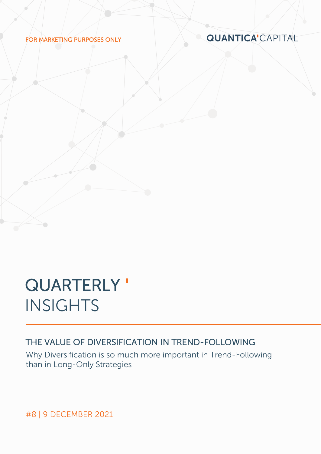FOR MARKETING PURPOSES ONLY

**QUANTICA'CAPITAL** 

# **QUARTERLY' INSIGHTS**

# THE VALUE OF DIVERSIFICATION IN TREND-FOLLOWING

Why Diversification is so much more important in Trend-Following than in Long-Only Strategies

#8 | 9 DECEMBER 2021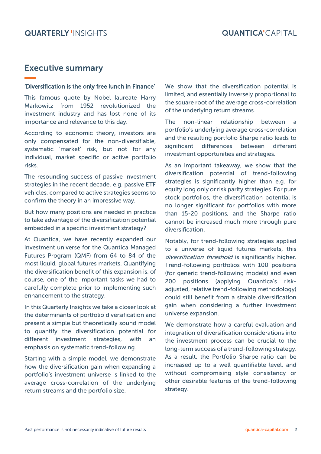# Executive summary

#### 'Diversification is the only free lunch in Finance'

This famous quote by Nobel laureate Harry Markowitz from 1952 revolutionized the investment industry and has lost none of its importance and relevance to this day.

According to economic theory, investors are only compensated for the non-diversifiable, systematic 'market' risk, but not for any individual, market specific or active portfolio risks.

The resounding success of passive investment strategies in the recent decade, e.g. passive ETF vehicles, compared to active strategies seems to confirm the theory in an impressive way.

But how many positions are needed in practice to take advantage of the diversification potential embedded in a specific investment strategy?

At Quantica, we have recently expanded our investment universe for the Quantica Managed Futures Program (QMF) from 64 to 84 of the most liquid, global futures markets. Quantifying the diversification benefit of this expansion is, of course, one of the important tasks we had to carefully complete prior to implementing such enhancement to the strategy.

In this Quarterly Insights we take a closer look at the determinants of portfolio diversification and present a simple but theoretically sound model to quantify the diversification potential for different investment strategies, with an emphasis on systematic trend-following.

Starting with a simple model, we demonstrate how the diversification gain when expanding a portfolio's investment universe is linked to the average cross-correlation of the underlying return streams and the portfolio size.

We show that the diversification potential is limited, and essentially inversely proportional to the square root of the average cross-correlation of the underlying return streams.

The non-linear relationship between a portfolio's underlying average cross-correlation and the resulting portfolio Sharpe ratio leads to significant differences between different investment opportunities and strategies.

As an important takeaway, we show that the diversification potential of trend-following strategies is significantly higher than e.g. for equity long only or risk parity strategies. For pure stock portfolios, the diversification potential is no longer significant for portfolios with more than 15-20 positions, and the Sharpe ratio cannot be increased much more through pure diversification.

Notably, for trend-following strategies applied to a universe of liquid futures markets, this diversification threshold is significantly higher. Trend-following portfolios with 100 positions (for generic trend-following models) and even 200 positions (applying Quantica's riskadjusted, relative trend-following methodology) could still benefit from a sizable diversification gain when considering a further investment universe expansion.

We demonstrate how a careful evaluation and integration of diversification considerations into the investment process can be crucial to the long-term success of a trend-following strategy. As a result, the Portfolio Sharpe ratio can be increased up to a well quantifiable level, and without compromising style consistency or other desirable features of the trend-following strategy.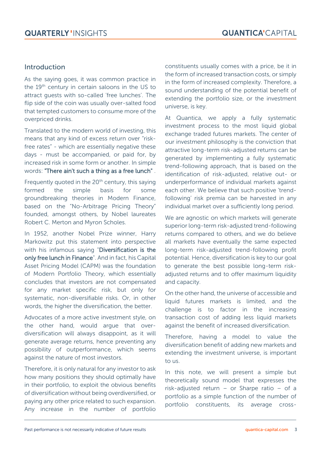#### Introduction

As the saying goes, it was common practice in the 19<sup>th</sup> century in certain saloons in the US to attract guests with so-called 'free lunches'. The flip side of the coin was usually over-salted food that tempted customers to consume more of the overpriced drinks.

Translated to the modern world of investing, this means that any kind of excess return over "riskfree rates" - which are essentially negative these days - must be accompanied, or paid for, by increased risk in some form or another. In simple words: "There ain't such a thing as a free lunch" .

Frequently quoted in the  $20<sup>th</sup>$  century, this saying formed the simple basis for some groundbreaking theories in Modern Finance, based on the "No-Arbitrage Pricing Theory" founded, amongst others, by Nobel laureates Robert C. Merton and Myron Scholes.

In 1952, another Nobel Prize winner, Harry Markowitz put this statement into perspective with his infamous saying "Diversification is the only free lunch in Finance". And in fact, his Capital Asset Pricing Model (CAPM) was the foundation of Modern Portfolio Theory, which essentially concludes that investors are not compensated for any market specific risk, but only for systematic, non-diversifiable risks. Or, in other words, the higher the diversification, the better.

Advocates of a more active investment style, on the other hand, would argue that overdiversification will always disappoint, as it will generate average returns, hence preventing any possibility of outperformance, which seems against the nature of most investors.

Therefore, it is only natural for any investor to ask how many positions they should optimally have in their portfolio, to exploit the obvious benefits of diversification without being overdiversified, or paying any other price related to such expansion. Any increase in the number of portfolio constituents usually comes with a price, be it in the form of increased transaction costs, or simply in the form of increased complexity. Therefore, a sound understanding of the potential benefit of extending the portfolio size, or the investment universe, is key.

At Quantica, we apply a fully systematic investment process to the most liquid global exchange traded futures markets. The center of our investment philosophy is the conviction that attractive long-term risk-adjusted returns can be generated by implementing a fully systematic trend-following approach, that is based on the identification of risk-adjusted, relative out- or underperformance of individual markets against each other. We believe that such positive 'trendfollowing' risk premia can be harvested in any individual market over a sufficiently long period.

We are agnostic on which markets will generate superior long-term risk-adjusted trend-following returns compared to others, and we do believe all markets have eventually the same expected long-term risk-adjusted trend-following profit potential. Hence, diversification is key to our goal to generate the best possible long-term riskadjusted returns and to offer maximum liquidity and capacity.

On the other hand, the universe of accessible and liquid futures markets is limited, and the challenge is to factor in the increasing transaction cost of adding less liquid markets against the benefit of increased diversification.

Therefore, having a model to value the diversification benefit of adding new markets and extending the investment universe, is important to us.

In this note, we will present a simple but theoretically sound model that expresses the risk-adjusted return – or Sharpe ratio – of a portfolio as a simple function of the number of portfolio constituents, its average cross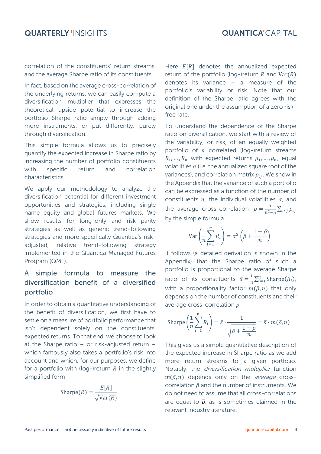correlation of the constituents' return streams, and the average Sharpe ratio of its constituents.

In fact, based on the average cross-correlation of the underlying returns, we can easily compute a diversification multiplier that expresses the theoretical upside potential to increase the portfolio Sharpe ratio simply through adding more instruments, or put differently, purely through diversification.

This simple formula allows us to precisely quantify the expected increase in Sharpe ratio by increasing the number of portfolio constituents with specific return and correlation characteristics.

We apply our methodology to analyze the diversification potential for different investment opportunities and strategies, including single name equity and global futures markets. We show results for long-only and risk parity strategies as well as generic trend-following strategies and more specifically Quantica's riskadjusted, relative trend-following strategy implemented in the Quantica Managed Futures Program (QMF).

## A simple formula to measure the diversification benefit of a diversified portfolio

In order to obtain a quantitative understanding of the benefit of diversification, we first have to settle on a measure of portfolio performance that isn't dependent solely on the constituents' expected returns. To that end, we choose to look at the Sharpe ratio – or risk-adjusted return – which famously also takes a portfolio's risk into account and which, for our purposes, we define for a portfolio with (log-)return  $R$  in the slightly simplified form

$$
Sharpe(R) = \frac{E[R]}{\sqrt{Var(R)}}.
$$

Here  $E[R]$  denotes the annualized expected return of the portfolio (log-)return  $R$  and  $Var(R)$ denotes its variance – a measure of the portfolio's variability or risk. Note that our definition of the Sharpe ratio agrees with the original one under the assumption of a zero riskfree rate.

To understand the dependence of the Sharpe ratio on diversification, we start with a review of the variability, or risk, of an equally weighted portfolio of  $n$  correlated (log-)return streams  $R_1, ..., R_n$  with expected returns  $\mu_1, ..., \mu_n$ , equal volatilities  $\sigma$  (i.e. the annualized square root of the variances), and correlation matrix  $\rho_{ii}$ . We show in the Appendix that the variance of such a portfolio can be expressed as a function of the number of constituents  $n$ , the individual volatilities  $\sigma$ , and the average cross-correlation  $\bar{\rho} = \frac{1}{m^2}$  $\frac{1}{n^2-n}\sum_{i\neq j}\rho_{ij}$ by the simple formula

$$
\operatorname{Var}\left(\frac{1}{n}\sum_{i=1}^{n}R_{i}\right)=\sigma^{2}\left(\bar{\rho}+\frac{1-\bar{\rho}}{n}\right).
$$

It follows (a detailed derivation is shown in the Appendix) that the Sharpe ratio of such a portfolio is proportional to the average Sharpe ratio of its constituents  $\bar{s} = \frac{1}{n}$  $\frac{1}{n}\sum_{i=1}^{n}$ Sharpe $(R_i)$ , with a proportionality factor  $m(\bar{\rho}, n)$  that only depends on the number of constituents and their average cross-correlation  $\bar{\rho}$  :

$$
\text{Sharpe}\left(\frac{1}{n}\sum_{i=1}^n R_i\right) = \bar{s} \cdot \frac{1}{\sqrt{\bar{\rho} + \frac{1-\bar{\rho}}{n}}} = \bar{s} \cdot m(\bar{\rho}, n) \, .
$$

This gives us a simple quantitative description of the expected increase in Sharpe ratio as we add more return streams to a given portfolio. Notably, the diversification multiplier function  $m(\bar{\rho}, n)$  depends only on the *average* crosscorrelation  $\bar{\rho}$  and the number of instruments. We do not need to assume that all cross-correlations are equal to  $\bar{\rho}$ , as is sometimes claimed in the relevant industry literature.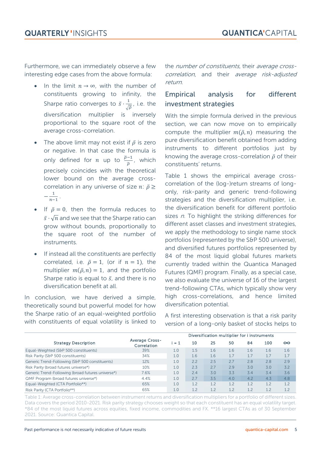Furthermore, we can immediately observe a few interesting edge cases from the above formula:

- In the limit  $n \to \infty$ , with the number of constituents growing to infinity, the Sharpe ratio converges to  $\bar{s} \cdot \frac{1}{\epsilon}$  $\frac{1}{\sqrt{\overline{\rho}}}$ , i.e. the diversification multiplier is inversely proportional to the square root of the average cross-correlation.
- The above limit may not exist if  $\bar{\rho}$  is zero or negative. In that case the formula is only defined for *n* up to  $\frac{\overline{p}-1}{\overline{p}}$ , which precisely coincides with the theoretical lower bound on the average crosscorrelation in any universe of size  $n: \bar{p} \geq$  $-\frac{1}{n}$  $n-1$ .
- If  $\bar{p} = 0$ , then the formula reduces to  $\bar{s}\cdot\sqrt{n}$  and we see that the Sharpe ratio can grow without bounds, proportionally to the square root of the number of instruments.
- If instead all the constituents are perfectly correlated, i.e.  $\bar{p} = 1$ , (or if  $n = 1$ ), the multiplier  $m(\bar{p}, n) = 1$ , and the portfolio Sharpe ratio is equal to  $\bar{s}$ , and there is no diversification benefit at all.

In conclusion, we have derived a simple, theoretically sound but powerful model for how the Sharpe ratio of an equal-weighted portfolio with constituents of equal volatility is linked to the number of constituents, their average crosscorrelation, and their average risk-adjusted return.

## Empirical analysis for different investment strategies

With the simple formula derived in the previous section, we can now move on to empirically compute the multiplier  $m(\bar{p}, n)$  measuring the pure diversification benefit obtained from adding instruments to different portfolios just by knowing the average cross-correlation  $\bar{\rho}$  of their constituents' returns.

Table 1 shows the empirical average crosscorrelation of the (log-)return streams of longonly, risk-parity and generic trend-following strategies and the diversification multiplier, i.e. the diversification benefit for different portfolio sizes  $n$ . To highlight the striking differences for different asset classes and investment strategies, we apply the methodology to single name stock portfolios (represented by the S&P 500 universe), and diversified futures portfolios represented by 84 of the most liquid global futures markets currently traded within the Quantica Managed Futures (QMF) program. Finally, as a special case, we also evaluate the universe of 16 of the largest trend-following CTAs, which typically show very high cross-correlations, and hence limited diversification potential.

| the Sharpe ratio of an equal-weighted portfolio<br>with constituents of equal volatility is linked to |                                      | A first interesting observation is that a risk parity<br>version of a long-only basket of stocks helps to |     |     |     |     |     |          |
|-------------------------------------------------------------------------------------------------------|--------------------------------------|-----------------------------------------------------------------------------------------------------------|-----|-----|-----|-----|-----|----------|
|                                                                                                       |                                      | Diversification multiplier for i instruments                                                              |     |     |     |     |     |          |
| <b>Strategy Description</b>                                                                           | <b>Average Cross-</b><br>Correlation | $= 1$                                                                                                     | 10  | 25  | 50  | 84  | 100 | $\infty$ |
| Equal-Weighted (S&P 500 constituents)                                                                 | 39%                                  | 1.0                                                                                                       | 1.5 | 1.6 | 1.6 | 1.6 | 1.6 | 1.6      |
| Risk Parity (S&P 500 constituents)                                                                    | 34%                                  | 1.0                                                                                                       | 1.6 | 1.6 | 1.7 | 1.7 | 1.7 | 1.7      |
| Generic Trend-Following (S&P 500 constituents)                                                        | 12%                                  | 1.0                                                                                                       | 2.2 | 2.5 | 2.7 | 2.8 | 2.8 | 2.9      |
| Risk Parity (broad futures universe*)                                                                 | 10%                                  | 1.0                                                                                                       | 2.3 | 2.7 | 2.9 | 3.0 | 3.0 | 3.2      |
| Generic Trend-Following (broad futures universe*)                                                     | 7.6%                                 | 1.0                                                                                                       | 2.4 | 3.0 | 3.3 | 3.4 | 3.4 | 3.6      |
| QMF Program (broad futures universe*)                                                                 | 4.4%                                 | 1.0                                                                                                       | 2.7 | 3.5 | 4.0 | 4.2 | 4.3 | 4.8      |
| Equal-Weighted (CTA Portfolio**)                                                                      | 65%                                  | 1.0                                                                                                       | 1.2 | 1.2 | 1.2 | 1.2 | 1.2 | 1.2      |
| Risk Parity (CTA Portfolio**)                                                                         | 65%                                  | 1.0                                                                                                       | 1.2 | 1.2 | 1.2 | 1.2 | 1.2 | 1.2      |

Table 1: Average cross-correlation between instrument returns and diversification multipliers for a portfolio of different sizes. Data covers the period 2010-2021. Risk parity strategy chooses weight so that each constituent has an equal volatility target. \*84 of the most liquid futures across equities, fixed income, commodities and FX. \*\*16 largest CTAs as of 30 September 2021. Source: Quantica Capital.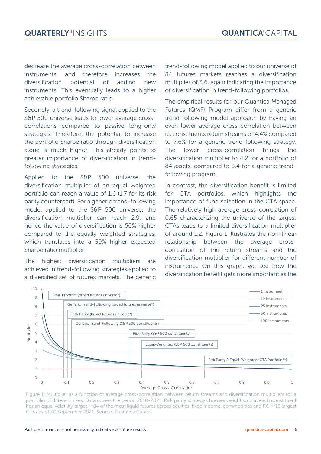decrease the average cross-correlation between instruments, and therefore increases the diversification potential of adding new instruments. This eventually leads to a higher achievable portfolio Sharpe ratio.

Secondly, a trend-following signal applied to the S&P 500 universe leads to lower average crosscorrelations compared to passive long-only strategies. Therefore, the potential to increase the portfolio Sharpe ratio through diversification alone is much higher. This already points to greater importance of diversification in trendfollowing strategies.

Applied to the S&P 500 universe, the diversification multiplier of an equal weighted portfolio can reach a value of 1.6 (1.7 for its risk parity counterpart). For a generic trend-following model applied to the S&P 500 universe, the diversification multiplier can reach 2.9, and hence the value of diversification is 50% higher compared to the equally weighted strategies, which translates into a 50% higher expected Sharpe ratio multiplier.

The highest diversification multipliers are achieved in trend-following strategies applied to a diversified set of futures markets. The generic

trend-following model applied to our universe of 84 futures markets reaches a diversification multiplier of 3.6, again indicating the importance of diversification in trend-following portfolios.

The empirical results for our Quantica Managed Futures (QMF) Program differ from a generic trend-following model approach by having an even lower average cross-correlation between its constituents return streams of 4.4% compared to 7.6% for a generic trend-following strategy. The lower cross-correlation brings the diversification multiplier to 4.2 for a portfolio of 84 assets, compared to 3.4 for a generic trendfollowing program.

In contrast, the diversification benefit is limited for CTA portfolios, which highlights the importance of fund selection in the CTA space. The relatively high average cross-correlation of 0.65 characterizing the universe of the largest CTAs leads to a limited diversification multiplier of around 1.2. Figure 1 illustrates the non-linear relationship between the average crosscorrelation of the return streams and the diversification multiplier for different number of instruments. On this graph, we see how the diversification benefit gets more important as the



Figure 1: Multiplier as a function of average cross-correlation between return streams and diversification multipliers for a portfolio of different sizes. Data covers the period 2010-2021. Risk parity strategy chooses weight so that each constituent has an equal volatility target. \*84 of the most liquid futures across equities, fixed income, commodities and FX. \*\*16 largest CTAs as of 30 September 2021. Source: Quantica Capital.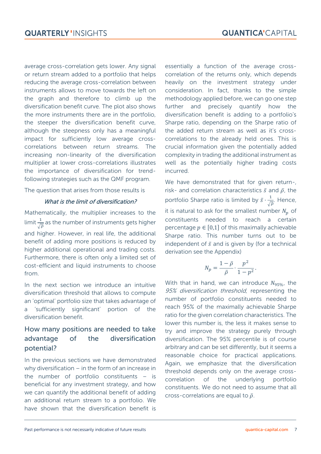average cross-correlation gets lower. Any signal or return stream added to a portfolio that helps reducing the average cross-correlation between instruments allows to move towards the left on the graph and therefore to climb up the diversification benefit curve. The plot also shows the more instruments there are in the portfolio, the steeper the diversification benefit curve, although the steepness only has a meaningful impact for sufficiently low average crosscorrelations between return streams. The increasing non-linearity of the diversification multiplier at lower cross-correlations illustrates the importance of diversification for trendfollowing strategies such as the QMF program.

The question that arises from those results is

#### What is the limit of diversification?

Mathematically, the multiplier increases to the limit  $\frac{1}{\sqrt{\overline{\rho}}}$  as the number of instruments gets higher and higher. However, in real life, the additional benefit of adding more positions is reduced by higher additional operational and trading costs. Furthermore, there is often only a limited set of cost-efficient and liquid instruments to choose from.

In the next section we introduce an intuitive diversification threshold that allows to compute an 'optimal' portfolio size that takes advantage of a 'sufficiently significant' portion of the diversification benefit.

## How many positions are needed to take advantage of the diversification potential?

In the previous sections we have demonstrated why diversification – in the form of an increase in the number of portfolio constituents – is beneficial for any investment strategy, and how we can quantify the additional benefit of adding an additional return stream to a portfolio. We have shown that the diversification benefit is

essentially a function of the average crosscorrelation of the returns only, which depends heavily on the investment strategy under consideration. In fact, thanks to the simple methodology applied before, we can go one step further and precisely quantify how the diversification benefit is adding to a portfolio's Sharpe ratio, depending on the Sharpe ratio of the added return stream as well as it's crosscorrelations to the already held ones. This is crucial information given the potentially added complexity in trading the additional instrument as well as the potentially higher trading costs incurred.

We have demonstrated that for given return-, risk- and correlation characteristics  $\bar{s}$  and  $\bar{\rho}$ , the portfolio Sharpe ratio is limited by  $\bar{s} \cdot \frac{1}{6}$  $\frac{1}{\sqrt{\overline{\rho}}}$ . Hence, it is natural to ask for the smallest number  $N_n$  of constituents needed to reach a certain percentage  $p \in [0,1]$  of this maximally achievable Sharpe ratio. This number turns out to be independent of  $\bar{s}$  and is given by (for a technical derivation see the Appendix)

$$
N_p=\frac{1-\bar{\rho}}{\bar{\rho}}\cdot\frac{p^2}{1-p^2}.
$$

With that in hand, we can introduce  $N_{95\%}$ , the 95% diversification threshold, representing the number of portfolio constituents needed to reach 95% of the maximally achievable Sharpe ratio for the given correlation characteristics. The lower this number is, the less it makes sense to try and improve the strategy purely through diversification. The 95% percentile is of course arbitrary and can be set differently, but it seems a reasonable choice for practical applications. Again, we emphasize that the diversification threshold depends only on the average crosscorrelation of the underlying portfolio constituents. We do not need to assume that all cross-correlations are equal to  $\bar{p}$ .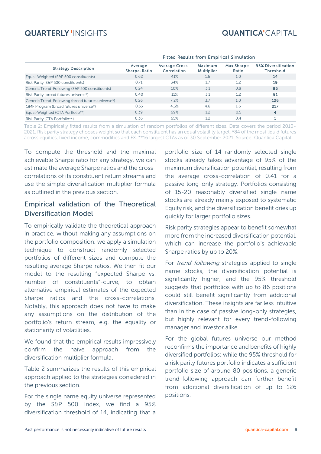# **QUARTERLY 'INSIGHTS**

|                                                   | <b>Fitted Results from Empirical Simulation</b> |                                      |                              |                      |                                         |
|---------------------------------------------------|-------------------------------------------------|--------------------------------------|------------------------------|----------------------|-----------------------------------------|
| <b>Strategy Description</b>                       | Average<br>Sharpe-Ratio                         | <b>Average Cross-</b><br>Correlation | Maximum<br><b>Multiplier</b> | Max Sharpe-<br>Ratio | 95% Diversification<br><b>Threshold</b> |
| Equal-Weighted (S&P 500 constituents)             | 0.62                                            | 41%                                  | 1.6                          | 1.0                  | 14                                      |
| Risk Parity (S&P 500 constituents)                | 0.71                                            | 34%                                  | 1.7                          | 1.2                  | 19                                      |
| Generic Trend-Following (S&P 500 constituents)    | 0.24                                            | 10%                                  | 3.1                          | 0.8                  | 86                                      |
| Risk Parity (broad futures universe*)             | 0.40                                            | 11%                                  | 3.1                          | 1.2                  | 81                                      |
| Generic Trend-Following (broad futures universe*) | 0.26                                            | 7.2%                                 | 3.7                          | 1.0                  | 126                                     |
| QMF Program (broad futures universe*)             | 0.33                                            | 4.3%                                 | 4.8                          | 1.6                  | 217                                     |
| Equal-Weighted (CTA Portfolio**)                  | 0.39                                            | 69%                                  | 1.2                          | 0.5                  | 4                                       |
| Risk Parity (CTA Portfolio**)                     | 0.36                                            | 65%                                  | 1.2                          | 0.4                  | 5                                       |

#### Fitted Results from Empirical Simulation

Table 2: Empirically fitted results from a simulation of random portfolios of different sizes. Data covers the period 2010- 2021. Risk parity strategy chooses weight so that each constituent has an equal volatility target. \*84 of the most liquid futures across equities, fixed income, commodities and FX. \*\*16 largest CTAs as of 30 September 2021. Source: Quantica Capital.

To compute the threshold and the maximal achievable Sharpe ratio for any strategy, we can estimate the average Sharpe ratios and the crosscorrelations of its constituent return streams and use the simple diversification multiplier formula as outlined in the previous section.

#### Empirical validation of the Theoretical Diversification Model

To empirically validate the theoretical approach in practice, without making any assumptions on the portfolio composition, we apply a simulation technique to construct randomly selected portfolios of different sizes and compute the resulting average Sharpe ratios. We then fit our model to the resulting "expected Sharpe vs. number of constituents"-curve, to obtain alternative empirical estimates of the expected Sharpe ratios and the cross-correlations. Notably, this approach does not have to make any assumptions on the distribution of the portfolio's return stream, e.g. the equality or stationarity of volatilities.

We found that the empirical results impressively confirm the naïve approach from the diversification multiplier formula.

Table 2 summarizes the results of this empirical approach applied to the strategies considered in the previous section.

For the single name equity universe represented by the S&P 500 Index, we find a 95% diversification threshold of 14, indicating that a

portfolio size of 14 randomly selected single stocks already takes advantage of 95% of the maximum diversification potential, resulting from the average cross-correlation of 0.41 for a passive long-only strategy. Portfolios consisting of 15-20 reasonably diversified single name stocks are already mainly exposed to systematic Equity risk, and the diversification benefit dries up quickly for larger portfolio sizes.

Risk parity strategies appear to benefit somewhat more from the increased diversification potential, which can increase the portfolio's achievable Sharpe ratios by up to 20%.

For *trend-following* strategies applied to single name stocks, the diversification potential is significantly higher, and the 95% threshold suggests that portfolios with up to 86 positions could still benefit significantly from additional diversification. These insights are far less intuitive than in the case of passive long-only strategies, but highly relevant for every trend-following manager and investor alike.

For the global futures universe our method reconfirms the importance and benefits of highly diversified portfolios: while the 95% threshold for a risk parity futures portfolio indicates a sufficient portfolio size of around 80 positions, a generic trend-following approach can further benefit from additional diversification of up to 126 positions.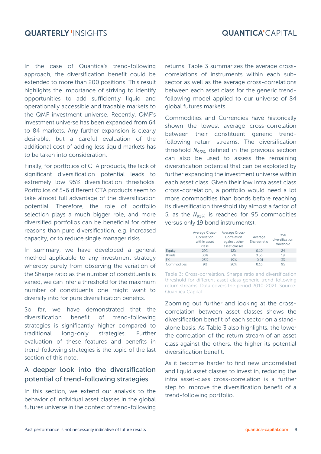In the case of Quantica's trend-following approach, the diversification benefit could be extended to more than 200 positions. This result highlights the importance of striving to identify opportunities to add sufficiently liquid and operationally accessible and tradable markets to the QMF investment universe. Recently, QMF's investment universe has been expanded from 64 to 84 markets. Any further expansion is clearly desirable, but a careful evaluation of the additional cost of adding less liquid markets has to be taken into consideration.

Finally, for portfolios of CTA products, the lack of significant diversification potential leads to extremely low 95% diversification thresholds. Portfolios of 5-6 different CTA products seem to take almost full advantage of the diversification potential. Therefore, the role of portfolio selection plays a much bigger role, and more diversified portfolios can be beneficial for other reasons than pure diversification, e.g. increased capacity, or to reduce single manager risks.

In summary, we have developed a general method applicable to any investment strategy whereby purely from observing the variation of the Sharpe ratio as the number of constituents is varied, we can infer a threshold for the maximum number of constituents one might want to diversify into for pure diversification benefits.

So far, we have demonstrated that the diversification benefit of trend-following strategies is significantly higher compared to traditional long-only strategies. Further evaluation of these features and benefits in trend-following strategies is the topic of the last section of this note.

## A deeper look into the diversification potential of trend-following strategies

In this section, we extend our analysis to the behavior of individual asset classes in the global futures universe in the context of trend-following

returns. [Table 3](#page-8-0) summarizes the average crosscorrelations of instruments within each subsector as well as the average cross-correlations between each asset class for the generic trendfollowing model applied to our universe of 84 global futures markets.

Commodities and Currencies have historically shown the lowest average cross-correlation between their constituent generic trendfollowing return streams. The diversification threshold  $N_{95\%}$  defined in the previous section can also be used to assess the remaining diversification potential that can be exploited by further expanding the investment universe within each asset class. Given their low intra asset class cross-correlation, a portfolio would need a lot more commodities than bonds before reaching its diversification threshold (by almost a factor of 5, as the  $N_{95\%}$  is reached for 95 commodities versus only 19 bond instruments).

|              | Average Cross-<br>Correlation<br>within asset<br>class | Average Cross-<br>Correlation<br>against other<br>asset classes | Average<br>Sharpe ratio | 95%<br>diversification<br>threshold |
|--------------|--------------------------------------------------------|-----------------------------------------------------------------|-------------------------|-------------------------------------|
| Equity       | 29%                                                    | 12%                                                             | 0.10                    | 24                                  |
| <b>Bonds</b> | 33%                                                    | 2%                                                              | 0.56                    | 19                                  |
| <b>FX</b>    | 23%                                                    | 19%                                                             | $-0.01$                 | 33                                  |
| Commodities  | 9%                                                     | 20%                                                             | 0.16                    | 95                                  |

<span id="page-8-0"></span>Table 3: Cross-correlation, Sharpe ratio and diversification threshold for different asset class generic trend-following return streams. Data covers the period 2010-2021. Source: Quantica Capital.

Zooming out further and looking at the crosscorrelation between asset classes shows the diversification benefit of each sector on a standalone basis. As Table 3 also highlights, the lower the correlation of the return stream of an asset class against the others, the higher its potential diversification benefit.

As it becomes harder to find new uncorrelated and liquid asset classes to invest in, reducing the intra asset-class cross-correlation is a further step to improve the diversification benefit of a trend-following portfolio.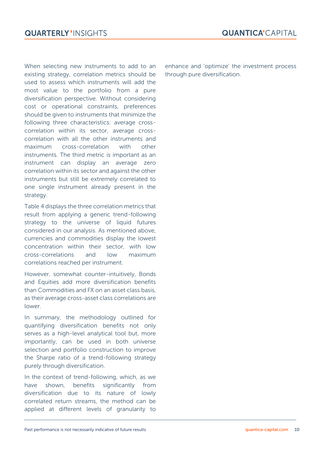When selecting new instruments to add to an existing strategy, correlation metrics should be used to assess which instruments will add the most value to the portfolio from a pure diversification perspective. Without considering cost or operational constraints, preferences should be given to instruments that minimize the following three characteristics: average crosscorrelation within its sector, average crosscorrelation with all the other instruments and maximum cross-correlation with other instruments. The third metric is important as an instrument can display an average zero correlation within its sector and against the other instruments but still be extremely correlated to one single instrument already present in the strategy.

Table 4 displays the three correlation metrics that result from applying a generic trend-following strategy to the universe of liquid futures considered in our analysis. As mentioned above, currencies and commodities display the lowest concentration within their sector, with low cross-correlations and low maximum correlations reached per instrument.

However, somewhat counter-intuitively, Bonds and Equities add more diversification benefits than Commodities and FX on an asset class basis, as their average cross-asset class correlations are lower.

In summary, the methodology outlined for quantifying diversification benefits not only serves as a high-level analytical tool but, more importantly, can be used in both universe selection and portfolio construction to improve the Sharpe ratio of a trend-following strategy purely through diversification.

In the context of trend-following, which, as we have shown, benefits significantly from diversification due to its nature of lowly correlated return streams, the method can be applied at different levels of granularity to enhance and 'optimize' the investment process through pure diversification.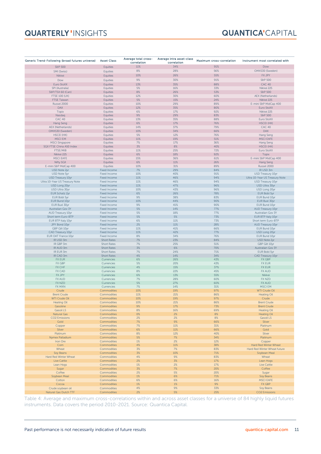# **QUARTERLY 'INSIGHTS**

## **QUANTICA'**CAPITAL

| Generic Trend-Following (broad futures universe) | <b>Asset Class</b> | Average total cross-<br>correlation | Average intra asset-class<br>correlation | Maximum cross-correlation | Instrument most correlated with |
|--------------------------------------------------|--------------------|-------------------------------------|------------------------------------------|---------------------------|---------------------------------|
| S&P 500                                          | Equities           | 11%                                 | 34%                                      | 91%                       | Dow                             |
| SMI (Swiss)                                      | Equities           | 8%                                  | 28%                                      | 56%                       | OMXS30 (Sweden)                 |
|                                                  |                    | 10%                                 | 26%                                      | 55%                       | FX JPY                          |
| Nikkei                                           | Equities           |                                     |                                          |                           |                                 |
| Dow                                              | Equities           | 9%                                  | 30%                                      | 91%                       | S&P 500                         |
| Euro StoXX                                       | Equities           | 13%                                 | 35%                                      | 88%                       | <b>CAC 40</b>                   |
| SPI (Australia)                                  | Equities           | $5%$                                | 16%                                      | 33%                       | Nikkei 225                      |
| S&P/TSX 60 (Can)                                 | Equities           | $8%$                                | 26%                                      | 53%                       | S&P 500                         |
| <b>FTSE 100 (UK)</b>                             | Equities           | 12%                                 | 30%                                      | 60%                       | <b>AEX (Netherlands)</b>        |
| <b>FTSE Taiwan</b>                               | Equities           | 5%                                  | 15%                                      | 24%                       | Nikkei 225                      |
| Russel 2000                                      | Equities           | 10%                                 | 29%                                      | 89%                       | E-mini S&P MidCap 400           |
| DAX                                              | Equities           | 12%                                 | 35%                                      | 80%                       | Euro StoXX                      |
| <b>Topix</b>                                     | Equities           | 6%                                  | 17%                                      | 92%                       | Nikkei 225                      |
| Nasdaq                                           | Equities           | 9%                                  | 29%                                      | 83%                       | S&P 500                         |
| CAC 40                                           | Equities           | 13%                                 | 35%                                      | 88%                       | Euro StoXX                      |
| Hang Seng                                        | Equities           | 6%                                  | 17%                                      | 76%                       | <b>HSCEI (HK)</b>               |
| AEX (Netherlands)                                | Equities           | 14%                                 | 37%                                      | 79%                       | <b>CAC 40</b>                   |
| OMXS30 (Sweden)                                  | Equities           | 10%                                 | 34%                                      | 66%                       | <b>DAX</b>                      |
| <b>HSCEI (HK)</b>                                | Equities           | $5%$                                | 12%                                      | 76%                       | Hang Seng                       |
| <b>MSCIEM</b>                                    | Equities           | 11%                                 | 19%                                      | 51%                       | <b>MSCI EAFE</b>                |
| <b>MSCI Singapore</b>                            | Equities           | 7%                                  | 17%                                      | 36%                       | Hang Seng                       |
| SGX FTSE China A50 Index                         | Equities           | 3%                                  | $8%$                                     | 40%                       | <b>HSCEI (HK)</b>               |
| FTSE/MIB                                         | Equities           | 11%                                 | 25%                                      | 72%                       | Euro StoXX                      |
| Nikkei 225                                       | Equities           | 6%                                  | 18%                                      | 92%                       | Topix                           |
| <b>MSCI EAFE</b>                                 | Equities           | 15%                                 | 36%                                      | 61%                       | E-mini S&P MidCap 400           |
| <b>Nifty SGX</b>                                 | Equities           | 6%                                  | 11%                                      | 26%                       | <b>Hang Seng</b>                |
| E-mini S&P MidCap 400                            | Equities           | 10%                                 | 31%                                      | 89%                       | Russel 2000                     |
| USD Note 2yr                                     | Fixed Income       | 7%                                  | 29%                                      | 84%                       | IR USD 3m                       |
| USD Note 5yr                                     | Fixed Income       | 10%                                 | 40%                                      | 91%                       | USD Treasury 10yr               |
| USD Treasury 10yr                                | Fixed Income       | 11%                                 | 46%                                      | 94%                       | Ultra 10-Year US Treasury Note  |
| Ultra 10-Year US Treasury Note                   | Fixed Income       | 11%                                 | 46%                                      | 94%                       | USD Treasury 10yr               |
| USD Long 20yr                                    | Fixed Income       | 11%                                 | 47%                                      | 96%                       | USD Ultra 30yr                  |
| USD Ultra 30yr                                   | Fixed Income       | 10%                                 | 43%                                      | 96%                       | USD Long 20yr                   |
| EUR Schatz 2yr                                   | Fixed Income       | 6%                                  | 26%                                      | 78%                       | EUR Bobl 5yr                    |
| EUR Bobl 5yr                                     | Fixed Income       | 9%                                  | 38%                                      | 83%                       | EUR Bund 10yr                   |
| EUR Bund 10yr                                    | Fixed Income       | 10%                                 | 44%                                      | 90%                       | EUR Buxl 30yr                   |
| EUR Buxl 30yr                                    | Fixed Income       | 9%                                  | 41%                                      | 90%                       | EUR Bund 10yr                   |
| Australian Gov 3Y                                | Fixed Income       | 5%                                  | 14%                                      | 77%                       | AUD Treasury 10yr               |
| AUD Treasury 10yr                                | Fixed Income       | 5%                                  | 18%                                      | 77%                       | Australian Gov 3Y               |
| Short term Euro-BTP                              | Fixed Income       | 5%                                  | $5%$                                     | 73%                       | EUR BTP Italy 10yr              |
| EUR BTP Italy 10yr                               | Fixed Income       | 6%                                  | 11%                                      | 73%                       | Short term Euro-BTP             |
| JPY Bond 10yr                                    | Fixed Income       | 2%                                  | 11%                                      | 28%                       | AUD Treasury 10yr               |
| GBP Gilt 10yr                                    | Fixed Income       | 11%                                 | 41%                                      | 66%                       | EUR Bund 10yr                   |
| CAD Treasury 10yr                                | Fixed Income       | 11%                                 | 42%                                      | 77%                       | USD Long 20yr                   |
| <b>EUR OAT France 10yr</b>                       | Fixed Income       | $8%$                                | 34%                                      | 76%                       | EUR Bund 10yr                   |
| IR USD 3m                                        | <b>Short Rates</b> | 7%                                  | 23%                                      | 84%                       | USD Note 2yr                    |
| IR GBP 3m                                        | <b>Short Rates</b> | 7%                                  | 25%                                      | 51%                       | GBP Gilt 10yr                   |
| IR AUD 3m                                        | <b>Short Rates</b> | 3%                                  | 6%                                       | 70%                       | Australian Gov 3Y               |
| IR EUR 3m                                        | <b>Short Rates</b> | 7%                                  | 24%                                      | 71%                       | EUR Bobl 5yr                    |
| IR CAD 3m                                        | <b>Short Rates</b> | 4%                                  | 14%                                      | 34%                       | CAD Treasury 10yr               |
| <b>FX EUR</b>                                    | Currencies         | 6%                                  | 26%                                      | 43%                       | FX GBP                          |
| FX GBP                                           | Currencies         | 5%                                  | 20%                                      | 43%                       | <b>FX EUR</b>                   |
| <b>FX CHF</b>                                    | Currencies         | 4%                                  | 15%                                      | 37%                       | <b>FX EUR</b>                   |
| <b>FX CAD</b>                                    | Currencies         | 8%                                  | 22%                                      | 45%                       | <b>FX AUD</b>                   |
| <b>FX JPY</b>                                    | Currencies         | 6%                                  | 13%                                      | 55%                       | Nikkei                          |
| <b>FX AUD</b>                                    | Currencies         | 7%                                  | 28%                                      | 60%                       | FX NZD                          |
| FX NZD                                           | Currencies         | 5%                                  | 27%                                      | 60%                       | <b>FX AUD</b>                   |
| FX MXN                                           | Currencies         | 7%                                  | 14%                                      | 31%                       | <b>MSCI EM</b>                  |
| Crude                                            | Commodities        | 10%                                 | 19%                                      | 97%                       | <b>WTI Crude Oil</b>            |
| <b>Brent Crude</b>                               | Commodities        | 11%                                 | 21%                                      | 86%                       | <b>Heating Oil</b>              |
| WTI Crude Oil                                    | Commodities        | 10%                                 | 19%                                      | 97%                       | Crude                           |
| <b>Heating Oil</b>                               | Commodities        | 10%                                 | 21%                                      | 86%                       | <b>Brent Crude</b>              |
| Gasoline                                         | Commodities        | 9%                                  | 17%                                      | 73%                       | <b>Brent Crude</b>              |
| <b>Gasoil LS</b>                                 | Commodities        | 8%                                  | 16%                                      | 69%                       | <b>Heating Oil</b>              |
| <b>Natural Gas</b>                               | Commodities        | 0%                                  | 2%                                       | 8%                        | <b>Heating Oil</b>              |
| <b>CO2</b> Emissions                             | Commodities        | 2%                                  | 2%                                       | 8%                        | <b>Gasoil LS</b>                |
| Gold                                             | Commodities        | 7%                                  | 9%                                       | 66%                       | Silver                          |
| Copper                                           | Commodities        | 7%                                  | 11%                                      | 31%                       | Platinum                        |
| Silver                                           | Commodities        | 6%                                  | 11%                                      | 66%                       | Gold                            |
| Platinum                                         | Commodities        | 8%                                  | 12%                                      | 40%                       | Silver                          |
| Nymex Palladium                                  | Commodities        | 5%                                  | 7%                                       | 34%                       | Platinum                        |
| Iron Ore                                         | Commodities        | 1%                                  | 2%                                       | 12%                       | Copper                          |
| Corn                                             | Commodities        | 4%                                  | 11%                                      | 38%                       | Hard Red Winter Wheat           |
| Wheat                                            | Commodities        | 3%                                  | 7%                                       | 83%                       | Hard Red Winter Wheat future    |
| Soy Beans                                        | Commodities        | 3%                                  | 10%                                      | 71%                       | Soybean Meal                    |
| Hard Red Winter Wheat                            | Commodities        | 4%                                  | 9%                                       | 83%                       | Wheat                           |
| <b>Live Cattle</b>                               | Commodities        | 2%                                  | 3%                                       | 17%                       | Lean Hogs                       |
| Lean Hogs                                        | Commodities        | $1\%$                               | 2%                                       | 17%                       | Live Cattle                     |
| Sugar                                            | Commodities        | 3%                                  | 7%                                       | 20%                       | Coffee                          |
| Coffee                                           | Commodities        | 2%                                  | 5%                                       | 20%                       | Sugar                           |
| Soybean Meal                                     | Commodities        | 1%                                  | 6%                                       | 71%                       | Soy Beans                       |
| Cotton                                           | Commodities        | 6%                                  | 6%                                       | 16%                       | <b>MSCI EAFE</b>                |
| Cocoa                                            | Commodities        | 1%                                  | 1%                                       | 9%                        | FX GBP                          |
| Crude soybean oil                                | Commodities        | 4%                                  | 9%                                       | 33%                       | Soy Beans                       |
| Natural Gas Dutch TTF                            | Commodities        | 2%                                  | $5%$                                     | 25%                       | <b>CO2</b> Emissions            |

Table 4: Average and maximum cross-correlations within and across asset classes for a universe of 84 highly liquid futures instruments. Data covers the period 2010-2021. Source: Quantica Capital.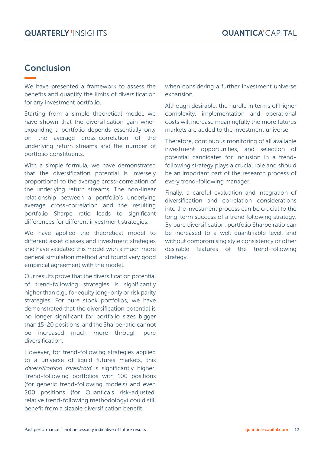# Conclusion

We have presented a framework to assess the benefits and quantify the limits of diversification for any investment portfolio.

Starting from a simple theoretical model, we have shown that the diversification gain when expanding a portfolio depends essentially only on the average cross-correlation of the underlying return streams and the number of portfolio constituents.

With a simple formula, we have demonstrated that the diversification potential is inversely proportional to the average cross-correlation of the underlying return streams. The non-linear relationship between a portfolio's underlying average cross-correlation and the resulting portfolio Sharpe ratio leads to significant differences for different investment strategies.

We have applied the theoretical model to different asset classes and investment strategies and have validated this model with a much more general simulation method and found very good empirical agreement with the model.

Our results prove that the diversification potential of trend-following strategies is significantly higher than e.g., for equity long-only or risk parity strategies. For pure stock portfolios, we have demonstrated that the diversification potential is no longer significant for portfolio sizes bigger than 15-20 positions, and the Sharpe ratio cannot be increased much more through pure diversification.

However, for trend-following strategies applied to a universe of liquid futures markets, this diversification threshold is significantly higher. Trend-following portfolios with 100 positions (for generic trend-following models) and even 200 positions (for Quantica's risk-adjusted, relative trend-following methodology) could still benefit from a sizable diversification benefit

when considering a further investment universe expansion.

Although desirable, the hurdle in terms of higher complexity, implementation and operational costs will increase meaningfully the more futures markets are added to the investment universe.

Therefore, continuous monitoring of all available investment opportunities, and selection of potential candidates for inclusion in a trendfollowing strategy plays a crucial role and should be an important part of the research process of every trend-following manager.

Finally, a careful evaluation and integration of diversification and correlation considerations into the investment process can be crucial to the long-term success of a trend following strategy. By pure diversification, portfolio Sharpe ratio can be increased to a well quantifiable level, and without compromising style consistency or other desirable features of the trend-following strategy.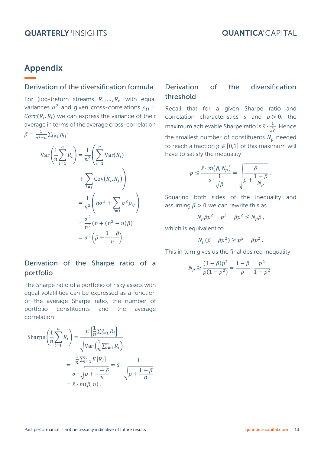.

# Appendix

#### Derivation of the diversification formula

For (log-)return streams  $R_1, ..., R_n$  with equal variances  $\sigma^2$  and given cross-correlations  $\rho_{ij} =$  $Corr(R<sub>i</sub>, R<sub>j</sub>)$  we can express the variance of their average in terms of the average cross-correlation  $\bar{\rho} = \frac{1}{r^2}$  $\frac{1}{n^2-n}\sum_{i\neq j}\rho_{ij}$ :

$$
\operatorname{Var}\left(\frac{1}{n}\sum_{i=1}^{n}R_{i}\right) = \frac{1}{n^{2}}\left(\sum_{i=1}^{n}\operatorname{Var}(R_{i}) + \sum_{i\neq j}\operatorname{Cov}(R_{i},R_{j})\right)
$$

$$
= \frac{1}{n^{2}}\left(n\sigma^{2} + \sum_{i\neq j}\sigma^{2}\rho_{ij}\right)
$$

$$
= \frac{\sigma^{2}}{n^{2}}\left(n + (n^{2} - n)\bar{\rho}\right)
$$

$$
= \sigma^{2}\left(\bar{\rho} + \frac{1 - \bar{\rho}}{n}\right).
$$

## Derivation of the diversification threshold

Recall that for a given Sharpe ratio and correlation characteristics  $\bar{s}$  and  $\bar{p} > 0$ , the maximum achievable Sharpe ratio is  $\bar{s} \cdot \frac{1}{\epsilon}$  $\frac{1}{\sqrt{\overline{\rho}}}$ . Hence the smallest number of constituents  $N_p$  needed to reach a fraction  $p \in [0,1]$  of this maximum will have to satisfy the inequality

$$
p \le \frac{\bar{s} \cdot m(\bar{\rho}, N_p)}{\bar{s} \cdot \frac{1}{\sqrt{\bar{\rho}}}} = \sqrt{\frac{\bar{\rho}}{\bar{\rho} + \frac{1 - \bar{\rho}}{N_p}}}
$$

Squaring both sides of the inequality and assuming  $\bar{p} > 0$  we can rewrite this as

$$
N_p \bar{\rho} p^2 + p^2 - \bar{\rho} p^2 \le N_p \bar{\rho} \,,
$$

which is equivalent to

$$
N_p(\bar{\rho}-\bar{\rho}p^2)\geq p^2-\bar{\rho}p^2.
$$

This in turn gives us the final desired inequality

$$
N_p \ge \frac{(1-\bar{\rho})p^2}{\bar{\rho}(1-p^2)} = \frac{1-\bar{\rho}}{\bar{\rho}} \cdot \frac{p^2}{1-p^2}.
$$

#### Derivation of the Sharpe ratio of a portfolio

The Sharpe ratio of a portfolio of risky assets with equal volatilities can be expressed as a function of the average Sharpe ratio, the number of portfolio constituents and the average correlation:

$$
\text{Sharpe}\left(\frac{1}{n}\sum_{i=1}^{n}R_{i}\right) = \frac{E\left[\frac{1}{n}\sum_{i=1}^{n}R_{i}\right]}{\sqrt{\text{Var}\left(\frac{1}{n}\sum_{i=1}^{n}R_{i}\right)}}
$$
\n
$$
= \frac{\frac{1}{n}\sum_{i=1}^{n}E[R_{i}]}{\sigma \cdot \sqrt{\bar{\rho} + \frac{1 - \bar{\rho}}{n}}} = \bar{s} \cdot \frac{1}{\sqrt{\bar{\rho} + \frac{1 - \bar{\rho}}{n}}}
$$
\n
$$
= \bar{s} \cdot m(\bar{\rho}, n).
$$